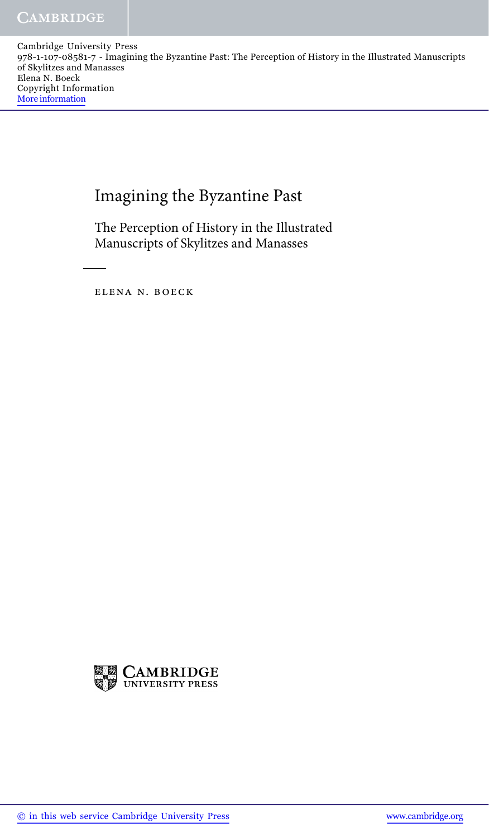Cambridge University Press 978-1-107-08581-7 - Imagining the Byzantine Past: The Perception of History in the Illustrated Manuscripts of Skylitzes and Manasses Elena N. Boeck Copyright Information More information

## Imagining the Byzantine Past

The Perception of History in the Illustrated Manuscripts of Skylitzes and Manasses

elena n. boeck